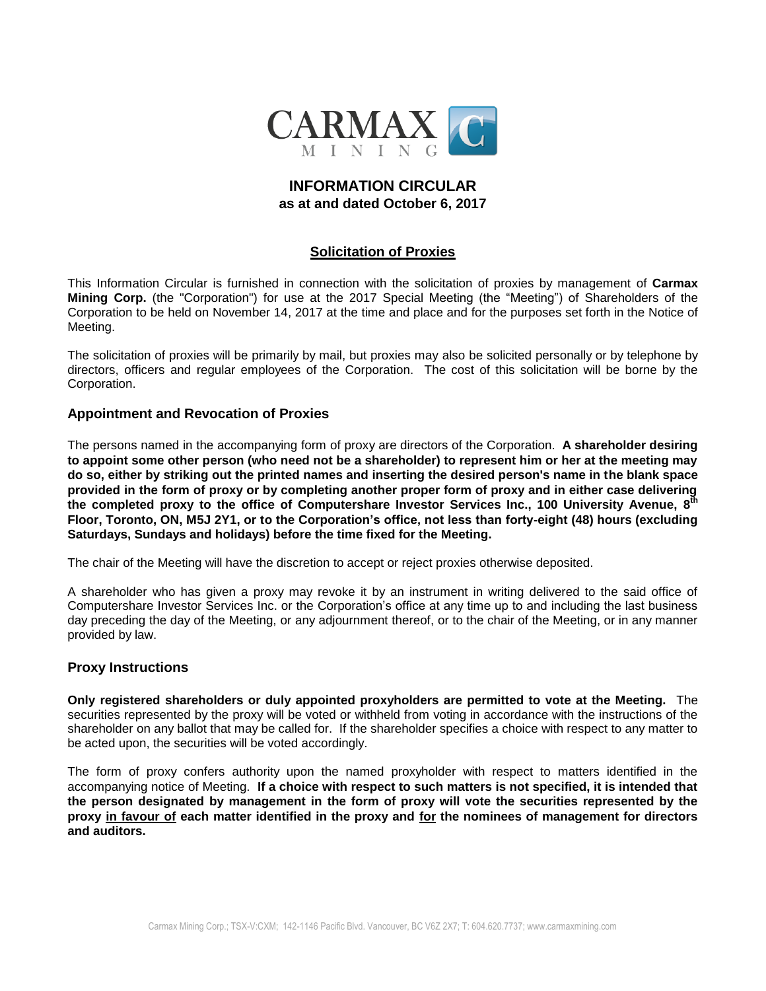

# **INFORMATION CIRCULAR as at and dated October 6, 2017**

# **Solicitation of Proxies**

This Information Circular is furnished in connection with the solicitation of proxies by management of **Carmax Mining Corp.** (the "Corporation") for use at the 2017 Special Meeting (the "Meeting") of Shareholders of the Corporation to be held on November 14, 2017 at the time and place and for the purposes set forth in the Notice of Meeting.

The solicitation of proxies will be primarily by mail, but proxies may also be solicited personally or by telephone by directors, officers and regular employees of the Corporation. The cost of this solicitation will be borne by the Corporation.

### **Appointment and Revocation of Proxies**

The persons named in the accompanying form of proxy are directors of the Corporation. **A shareholder desiring to appoint some other person (who need not be a shareholder) to represent him or her at the meeting may do so, either by striking out the printed names and inserting the desired person's name in the blank space provided in the form of proxy or by completing another proper form of proxy and in either case delivering the completed proxy to the office of Computershare Investor Services Inc., 100 University Avenue, 8 th Floor, Toronto, ON, M5J 2Y1, or to the Corporation's office, not less than forty-eight (48) hours (excluding Saturdays, Sundays and holidays) before the time fixed for the Meeting.**

The chair of the Meeting will have the discretion to accept or reject proxies otherwise deposited.

A shareholder who has given a proxy may revoke it by an instrument in writing delivered to the said office of Computershare Investor Services Inc. or the Corporation's office at any time up to and including the last business day preceding the day of the Meeting, or any adjournment thereof, or to the chair of the Meeting, or in any manner provided by law.

## **Proxy Instructions**

**Only registered shareholders or duly appointed proxyholders are permitted to vote at the Meeting.** The securities represented by the proxy will be voted or withheld from voting in accordance with the instructions of the shareholder on any ballot that may be called for. If the shareholder specifies a choice with respect to any matter to be acted upon, the securities will be voted accordingly.

The form of proxy confers authority upon the named proxyholder with respect to matters identified in the accompanying notice of Meeting. **If a choice with respect to such matters is not specified, it is intended that the person designated by management in the form of proxy will vote the securities represented by the proxy in favour of each matter identified in the proxy and for the nominees of management for directors and auditors.**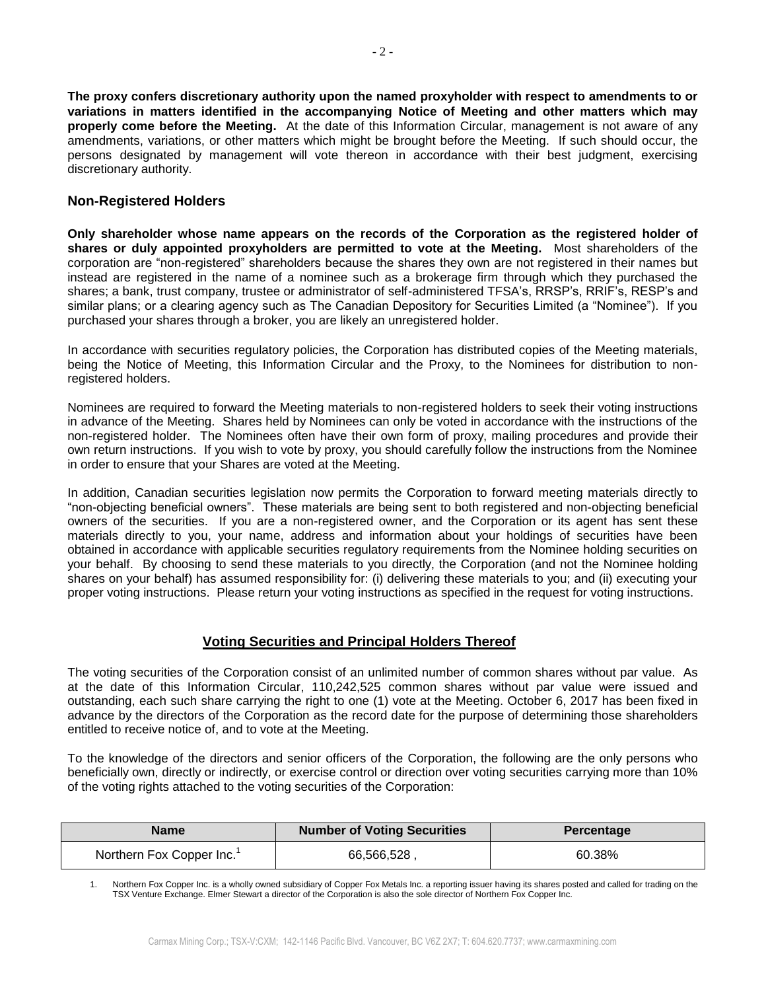**The proxy confers discretionary authority upon the named proxyholder with respect to amendments to or variations in matters identified in the accompanying Notice of Meeting and other matters which may properly come before the Meeting.** At the date of this Information Circular, management is not aware of any amendments, variations, or other matters which might be brought before the Meeting. If such should occur, the persons designated by management will vote thereon in accordance with their best judgment, exercising discretionary authority.

## **Non-Registered Holders**

**Only shareholder whose name appears on the records of the Corporation as the registered holder of shares or duly appointed proxyholders are permitted to vote at the Meeting.** Most shareholders of the corporation are "non-registered" shareholders because the shares they own are not registered in their names but instead are registered in the name of a nominee such as a brokerage firm through which they purchased the shares; a bank, trust company, trustee or administrator of self-administered TFSA's, RRSP's, RRIF's, RESP's and similar plans; or a clearing agency such as The Canadian Depository for Securities Limited (a "Nominee"). If you purchased your shares through a broker, you are likely an unregistered holder.

In accordance with securities regulatory policies, the Corporation has distributed copies of the Meeting materials, being the Notice of Meeting, this Information Circular and the Proxy, to the Nominees for distribution to nonregistered holders.

Nominees are required to forward the Meeting materials to non-registered holders to seek their voting instructions in advance of the Meeting. Shares held by Nominees can only be voted in accordance with the instructions of the non-registered holder. The Nominees often have their own form of proxy, mailing procedures and provide their own return instructions. If you wish to vote by proxy, you should carefully follow the instructions from the Nominee in order to ensure that your Shares are voted at the Meeting.

In addition, Canadian securities legislation now permits the Corporation to forward meeting materials directly to "non-objecting beneficial owners". These materials are being sent to both registered and non-objecting beneficial owners of the securities. If you are a non-registered owner, and the Corporation or its agent has sent these materials directly to you, your name, address and information about your holdings of securities have been obtained in accordance with applicable securities regulatory requirements from the Nominee holding securities on your behalf. By choosing to send these materials to you directly, the Corporation (and not the Nominee holding shares on your behalf) has assumed responsibility for: (i) delivering these materials to you; and (ii) executing your proper voting instructions. Please return your voting instructions as specified in the request for voting instructions.

## **Voting Securities and Principal Holders Thereof**

The voting securities of the Corporation consist of an unlimited number of common shares without par value. As at the date of this Information Circular, 110,242,525 common shares without par value were issued and outstanding, each such share carrying the right to one (1) vote at the Meeting. October 6, 2017 has been fixed in advance by the directors of the Corporation as the record date for the purpose of determining those shareholders entitled to receive notice of, and to vote at the Meeting.

To the knowledge of the directors and senior officers of the Corporation, the following are the only persons who beneficially own, directly or indirectly, or exercise control or direction over voting securities carrying more than 10% of the voting rights attached to the voting securities of the Corporation:

| Name                                  | <b>Number of Voting Securities</b> | <b>Percentage</b> |
|---------------------------------------|------------------------------------|-------------------|
| Northern Fox Copper Inc. <sup>1</sup> | 66,566,528                         | 60.38%            |

1. Northern Fox Copper Inc. is a wholly owned subsidiary of Copper Fox Metals Inc. a reporting issuer having its shares posted and called for trading on the TSX Venture Exchange. Elmer Stewart a director of the Corporation is also the sole director of Northern Fox Copper Inc.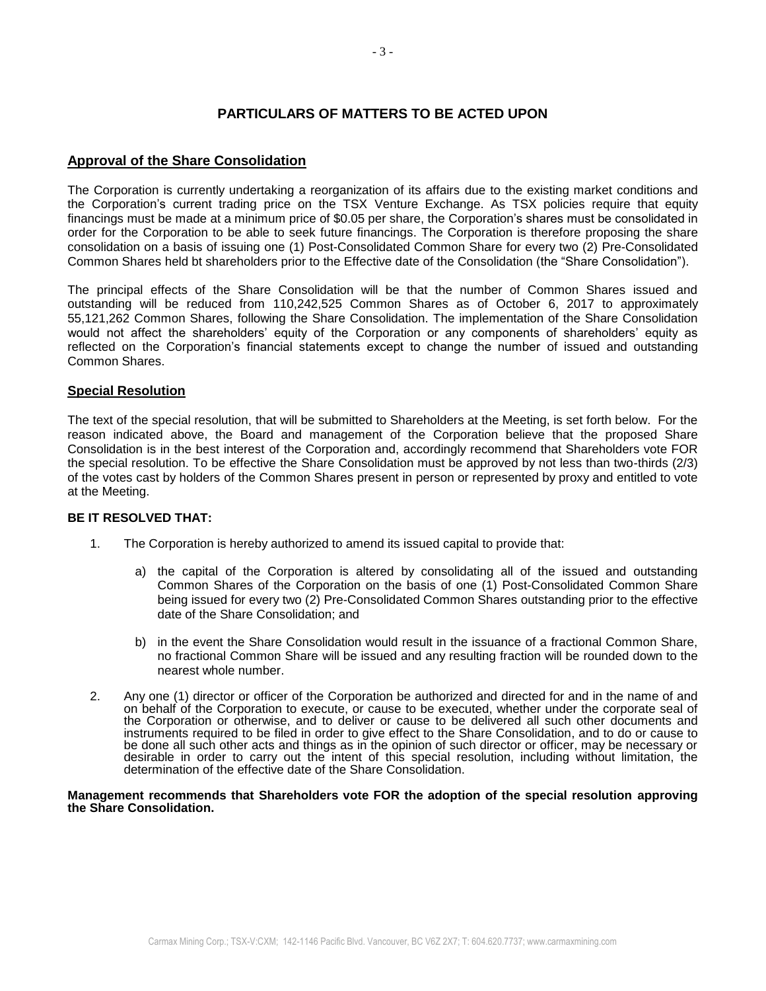## **PARTICULARS OF MATTERS TO BE ACTED UPON**

### **Approval of the Share Consolidation**

The Corporation is currently undertaking a reorganization of its affairs due to the existing market conditions and the Corporation's current trading price on the TSX Venture Exchange. As TSX policies require that equity financings must be made at a minimum price of \$0.05 per share, the Corporation's shares must be consolidated in order for the Corporation to be able to seek future financings. The Corporation is therefore proposing the share consolidation on a basis of issuing one (1) Post-Consolidated Common Share for every two (2) Pre-Consolidated Common Shares held bt shareholders prior to the Effective date of the Consolidation (the "Share Consolidation").

The principal effects of the Share Consolidation will be that the number of Common Shares issued and outstanding will be reduced from 110,242,525 Common Shares as of October 6, 2017 to approximately 55,121,262 Common Shares, following the Share Consolidation. The implementation of the Share Consolidation would not affect the shareholders' equity of the Corporation or any components of shareholders' equity as reflected on the Corporation's financial statements except to change the number of issued and outstanding Common Shares.

### **Special Resolution**

The text of the special resolution, that will be submitted to Shareholders at the Meeting, is set forth below. For the reason indicated above, the Board and management of the Corporation believe that the proposed Share Consolidation is in the best interest of the Corporation and, accordingly recommend that Shareholders vote FOR the special resolution. To be effective the Share Consolidation must be approved by not less than two-thirds (2/3) of the votes cast by holders of the Common Shares present in person or represented by proxy and entitled to vote at the Meeting.

### **BE IT RESOLVED THAT:**

- 1. The Corporation is hereby authorized to amend its issued capital to provide that:
	- a) the capital of the Corporation is altered by consolidating all of the issued and outstanding Common Shares of the Corporation on the basis of one (1) Post-Consolidated Common Share being issued for every two (2) Pre-Consolidated Common Shares outstanding prior to the effective date of the Share Consolidation; and
	- b) in the event the Share Consolidation would result in the issuance of a fractional Common Share, no fractional Common Share will be issued and any resulting fraction will be rounded down to the nearest whole number.
- 2. Any one (1) director or officer of the Corporation be authorized and directed for and in the name of and on behalf of the Corporation to execute, or cause to be executed, whether under the corporate seal of the Corporation or otherwise, and to deliver or cause to be delivered all such other documents and instruments required to be filed in order to give effect to the Share Consolidation, and to do or cause to be done all such other acts and things as in the opinion of such director or officer, may be necessary or desirable in order to carry out the intent of this special resolution, including without limitation, the determination of the effective date of the Share Consolidation.

#### **Management recommends that Shareholders vote FOR the adoption of the special resolution approving the Share Consolidation.**